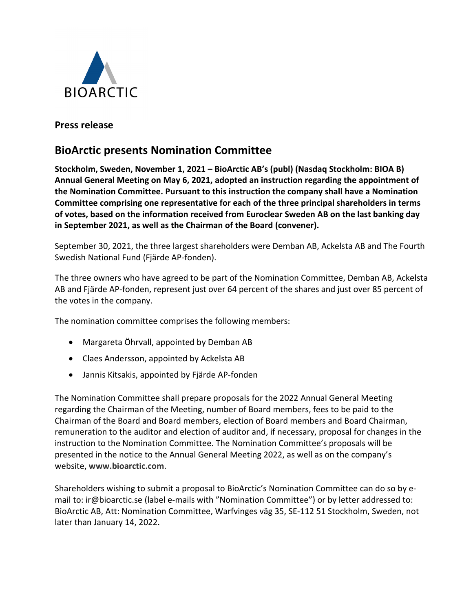

**Press release** 

## **BioArctic presents Nomination Committee**

**Stockholm, Sweden, November 1, 2021 – BioArctic AB's (publ) (Nasdaq Stockholm: BIOA B) Annual General Meeting on May 6, 2021, adopted an instruction regarding the appointment of the Nomination Committee. Pursuant to this instruction the company shall have a Nomination Committee comprising one representative for each of the three principal shareholders in terms of votes, based on the information received from Euroclear Sweden AB on the last banking day in September 2021, as well as the Chairman of the Board (convener).**

September 30, 2021, the three largest shareholders were Demban AB, Ackelsta AB and The Fourth Swedish National Fund (Fjärde AP-fonden).

The three owners who have agreed to be part of the Nomination Committee, Demban AB, Ackelsta AB and Fjärde AP-fonden, represent just over 64 percent of the shares and just over 85 percent of the votes in the company.

The nomination committee comprises the following members:

- Margareta Öhrvall, appointed by Demban AB
- Claes Andersson, appointed by Ackelsta AB
- Jannis Kitsakis, appointed by Fjärde AP-fonden

The Nomination Committee shall prepare proposals for the 2022 Annual General Meeting regarding the Chairman of the Meeting, number of Board members, fees to be paid to the Chairman of the Board and Board members, election of Board members and Board Chairman, remuneration to the auditor and election of auditor and, if necessary, proposal for changes in the instruction to the Nomination Committee. The Nomination Committee's proposals will be presented in the notice to the Annual General Meeting 2022, as well as on the company's website, **[www.bioarctic.com](http://www.bioarctic.com/)**.

Shareholders wishing to submit a proposal to BioArctic's Nomination Committee can do so by email to[: ir@bioarctic.se](mailto:ir@bioarctic.se) (label e-mails with "Nomination Committee") or by letter addressed to: BioArctic AB, Att: Nomination Committee, Warfvinges väg 35, SE-112 51 Stockholm, Sweden, not later than January 14, 2022.